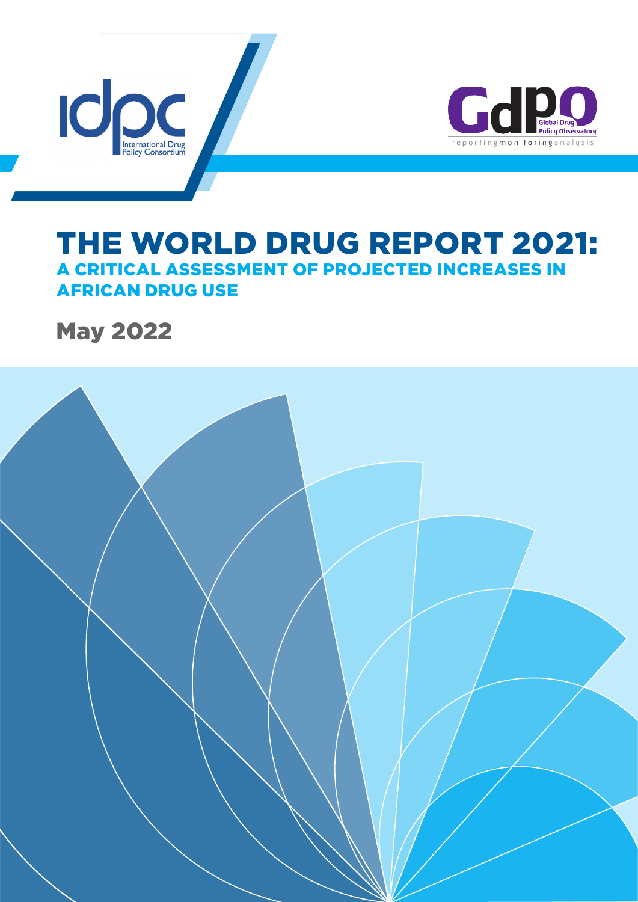



# THE WORLD DRUG REPORT 2021: A CRITICAL ASSESSMENT OF PROJECTED INCREASES IN AFRICAN DRUG USE

May 2022

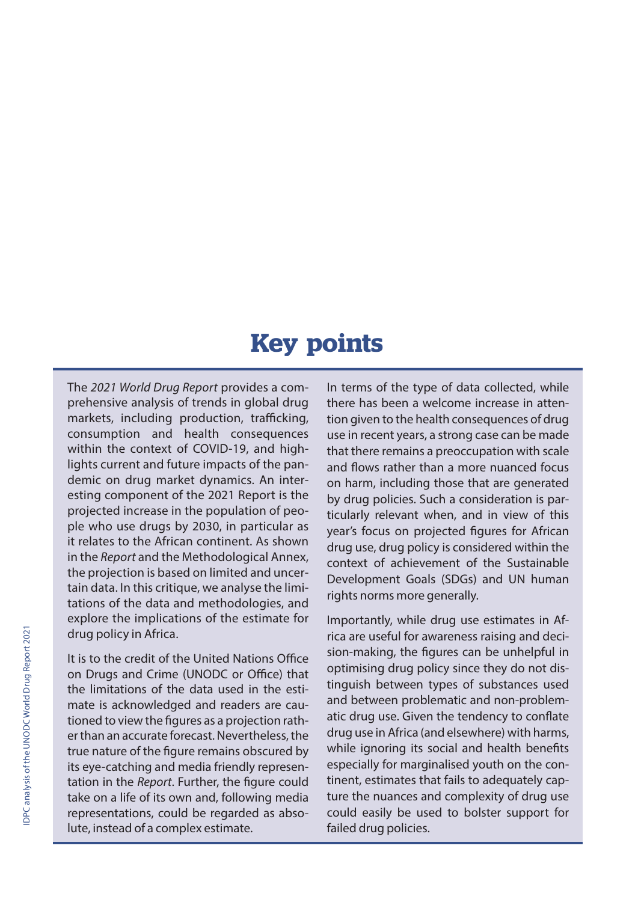# **Key points**

The *2021 World Drug Report* provides a comprehensive analysis of trends in global drug markets, including production, trafficking, consumption and health consequences within the context of COVID-19, and highlights current and future impacts of the pandemic on drug market dynamics. An interesting component of the 2021 Report is the projected increase in the population of people who use drugs by 2030, in particular as it relates to the African continent. As shown in the *Report* and the Methodological Annex, the projection is based on limited and uncertain data. In this critique, we analyse the limitations of the data and methodologies, and explore the implications of the estimate for drug policy in Africa.

It is to the credit of the United Nations Office on Drugs and Crime (UNODC or Office) that the limitations of the data used in the estimate is acknowledged and readers are cautioned to view the figures as a projection rather than an accurate forecast. Nevertheless, the true nature of the figure remains obscured by its eye-catching and media friendly representation in the *Report*. Further, the figure could take on a life of its own and, following media representations, could be regarded as absolute, instead of a complex estimate.

In terms of the type of data collected, while there has been a welcome increase in attention given to the health consequences of drug use in recent years, a strong case can be made that there remains a preoccupation with scale and flows rather than a more nuanced focus on harm, including those that are generated by drug policies. Such a consideration is particularly relevant when, and in view of this year's focus on projected figures for African drug use, drug policy is considered within the context of achievement of the Sustainable Development Goals (SDGs) and UN human rights norms more generally.

Importantly, while drug use estimates in Africa are useful for awareness raising and decision-making, the figures can be unhelpful in optimising drug policy since they do not distinguish between types of substances used and between problematic and non-problematic drug use. Given the tendency to conflate drug use in Africa (and elsewhere) with harms, while ignoring its social and health benefits especially for marginalised youth on the continent, estimates that fails to adequately capture the nuances and complexity of drug use could easily be used to bolster support for failed drug policies.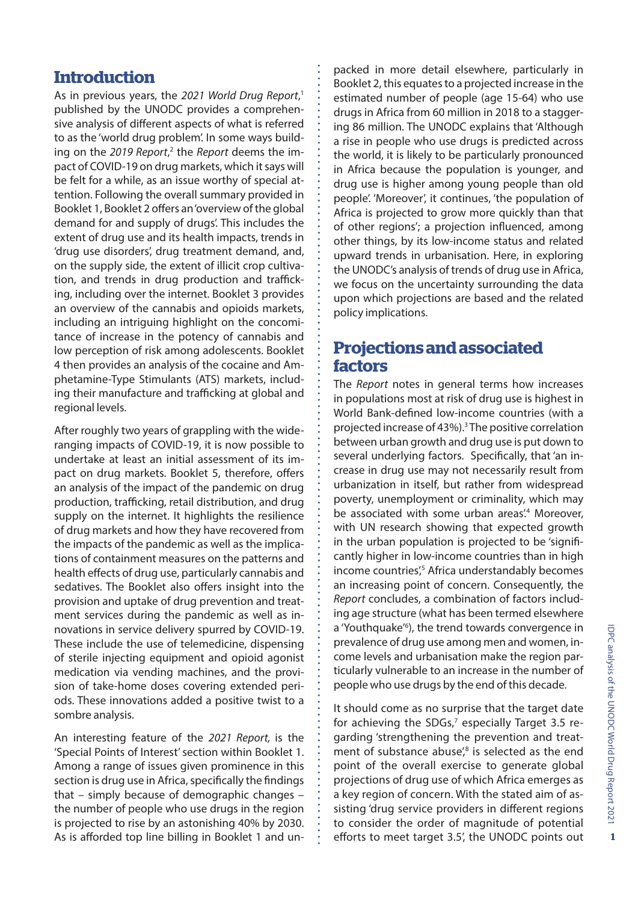#### **Introduction**

As in previous years, the *2021 World Drug Report*, 1 published by the UNODC provides a comprehensive analysis of different aspects of what is referred to as the 'world drug problem'. In some ways building on the 2019 Report,<sup>2</sup> the Report deems the impact of COVID-19 on drug markets, which it says will be felt for a while, as an issue worthy of special attention. Following the overall summary provided in Booklet 1, Booklet 2 offers an 'overview of the global demand for and supply of drugs'. This includes the extent of drug use and its health impacts, trends in 'drug use disorders', drug treatment demand, and, on the supply side, the extent of illicit crop cultivation, and trends in drug production and trafficking, including over the internet. Booklet 3 provides an overview of the cannabis and opioids markets, including an intriguing highlight on the concomitance of increase in the potency of cannabis and low perception of risk among adolescents. Booklet 4 then provides an analysis of the cocaine and Amphetamine-Type Stimulants (ATS) markets, including their manufacture and trafficking at global and regional levels.

After roughly two years of grappling with the wideranging impacts of COVID-19, it is now possible to undertake at least an initial assessment of its impact on drug markets. Booklet 5, therefore, offers an analysis of the impact of the pandemic on drug production, trafficking, retail distribution, and drug supply on the internet. It highlights the resilience of drug markets and how they have recovered from the impacts of the pandemic as well as the implications of containment measures on the patterns and health effects of drug use, particularly cannabis and sedatives. The Booklet also offers insight into the provision and uptake of drug prevention and treatment services during the pandemic as well as innovations in service delivery spurred by COVID-19. These include the use of telemedicine, dispensing of sterile injecting equipment and opioid agonist medication via vending machines, and the provision of take-home doses covering extended periods. These innovations added a positive twist to a sombre analysis.

An interesting feature of the *2021 Report,* is the 'Special Points of Interest' section within Booklet 1. Among a range of issues given prominence in this section is drug use in Africa, specifically the findings that – simply because of demographic changes – the number of people who use drugs in the region is projected to rise by an astonishing 40% by 2030. As is afforded top line billing in Booklet 1 and unpacked in more detail elsewhere, particularly in Booklet 2, this equates to a projected increase in the estimated number of people (age 15-64) who use drugs in Africa from 60 million in 2018 to a staggering 86 million. The UNODC explains that 'Although a rise in people who use drugs is predicted across the world, it is likely to be particularly pronounced in Africa because the population is younger, and drug use is higher among young people than old people'. 'Moreover', it continues, 'the population of Africa is projected to grow more quickly than that of other regions'; a projection influenced, among other things, by its low-income status and related upward trends in urbanisation. Here, in exploring the UNODC's analysis of trends of drug use in Africa, we focus on the uncertainty surrounding the data upon which projections are based and the related policy implications.

# **Projections and associated factors**

The *Report* notes in general terms how increases in populations most at risk of drug use is highest in World Bank-defined low-income countries (with a projected increase of 43%).<sup>3</sup> The positive correlation between urban growth and drug use is put down to several underlying factors. Specifically, that 'an increase in drug use may not necessarily result from urbanization in itself, but rather from widespread poverty, unemployment or criminality, which may be associated with some urban areas.<sup>4</sup> Moreover, with UN research showing that expected growth in the urban population is projected to be 'significantly higher in low-income countries than in high income countries',<sup>5</sup> Africa understandably becomes an increasing point of concern. Consequently, the *Report* concludes, a combination of factors including age structure (what has been termed elsewhere a 'Youthquake<sup>'6</sup>), the trend towards convergence in prevalence of drug use among men and women, income levels and urbanisation make the region particularly vulnerable to an increase in the number of people who use drugs by the end of this decade.

It should come as no surprise that the target date for achieving the SDGs,<sup>7</sup> especially Target 3.5 regarding 'strengthening the prevention and treatment of substance abuse',<sup>8</sup> is selected as the end point of the overall exercise to generate global projections of drug use of which Africa emerges as a key region of concern. With the stated aim of assisting 'drug service providers in different regions to consider the order of magnitude of potential efforts to meet target 3.5', the UNODC points out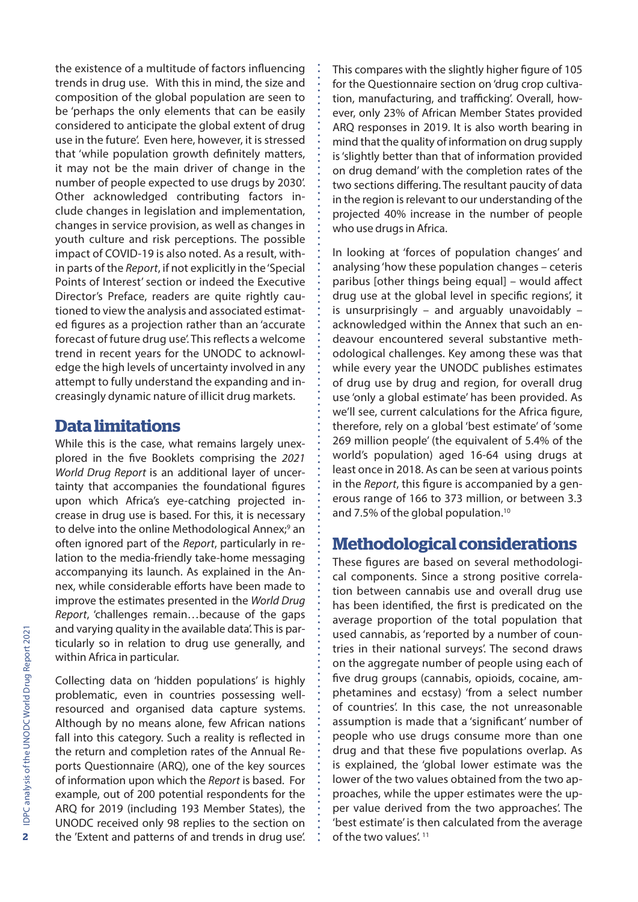the existence of a multitude of factors influencing trends in drug use. With this in mind, the size and composition of the global population are seen to be 'perhaps the only elements that can be easily considered to anticipate the global extent of drug use in the future'. Even here, however, it is stressed that 'while population growth definitely matters, it may not be the main driver of change in the number of people expected to use drugs by 2030'. Other acknowledged contributing factors include changes in legislation and implementation, changes in service provision, as well as changes in youth culture and risk perceptions. The possible impact of COVID-19 is also noted. As a result, within parts of the *Report*, if not explicitly in the 'Special Points of Interest' section or indeed the Executive Director's Preface, readers are quite rightly cautioned to view the analysis and associated estimated figures as a projection rather than an 'accurate forecast of future drug use'. This reflects a welcome trend in recent years for the UNODC to acknowledge the high levels of uncertainty involved in any attempt to fully understand the expanding and increasingly dynamic nature of illicit drug markets.

#### **Data limitations**

While this is the case, what remains largely unexplored in the five Booklets comprising the *2021 World Drug Report* is an additional layer of uncertainty that accompanies the foundational figures upon which Africa's eye-catching projected increase in drug use is based. For this, it is necessary to delve into the online Methodological Annex;<sup>9</sup> an often ignored part of the *Report*, particularly in relation to the media-friendly take-home messaging accompanying its launch. As explained in the Annex, while considerable efforts have been made to improve the estimates presented in the *World Drug Report*, 'challenges remain…because of the gaps and varying quality in the available data'. This is particularly so in relation to drug use generally, and within Africa in particular.

Collecting data on 'hidden populations' is highly problematic, even in countries possessing wellresourced and organised data capture systems. Although by no means alone, few African nations fall into this category. Such a reality is reflected in the return and completion rates of the Annual Reports Questionnaire (ARQ), one of the key sources of information upon which the *Report* is based. For example, out of 200 potential respondents for the ARQ for 2019 (including 193 Member States), the UNODC received only 98 replies to the section on the 'Extent and patterns of and trends in drug use'.

This compares with the slightly higher figure of 105 for the Questionnaire section on 'drug crop cultivation, manufacturing, and trafficking'. Overall, however, only 23% of African Member States provided ARQ responses in 2019. It is also worth bearing in mind that the quality of information on drug supply is 'slightly better than that of information provided on drug demand' with the completion rates of the two sections differing. The resultant paucity of data in the region is relevant to our understanding of the projected 40% increase in the number of people who use drugs in Africa.

In looking at 'forces of population changes' and analysing 'how these population changes – ceteris paribus [other things being equal] – would affect drug use at the global level in specific regions', it is unsurprisingly – and arguably unavoidably – acknowledged within the Annex that such an endeavour encountered several substantive methodological challenges. Key among these was that while every year the UNODC publishes estimates of drug use by drug and region, for overall drug use 'only a global estimate' has been provided. As we'll see, current calculations for the Africa figure, therefore, rely on a global 'best estimate' of 'some 269 million people' (the equivalent of 5.4% of the world's population) aged 16-64 using drugs at least once in 2018. As can be seen at various points in the *Report*, this figure is accompanied by a generous range of 166 to 373 million, or between 3.3 and 7.5% of the global population.10

# **Methodological considerations**

These figures are based on several methodological components. Since a strong positive correlation between cannabis use and overall drug use has been identified, the first is predicated on the average proportion of the total population that used cannabis, as 'reported by a number of countries in their national surveys'. The second draws on the aggregate number of people using each of five drug groups (cannabis, opioids, cocaine, amphetamines and ecstasy) 'from a select number of countries'. In this case, the not unreasonable assumption is made that a 'significant' number of people who use drugs consume more than one drug and that these five populations overlap. As is explained, the 'global lower estimate was the lower of the two values obtained from the two approaches, while the upper estimates were the upper value derived from the two approaches'. The 'best estimate' is then calculated from the average of the two values'. 11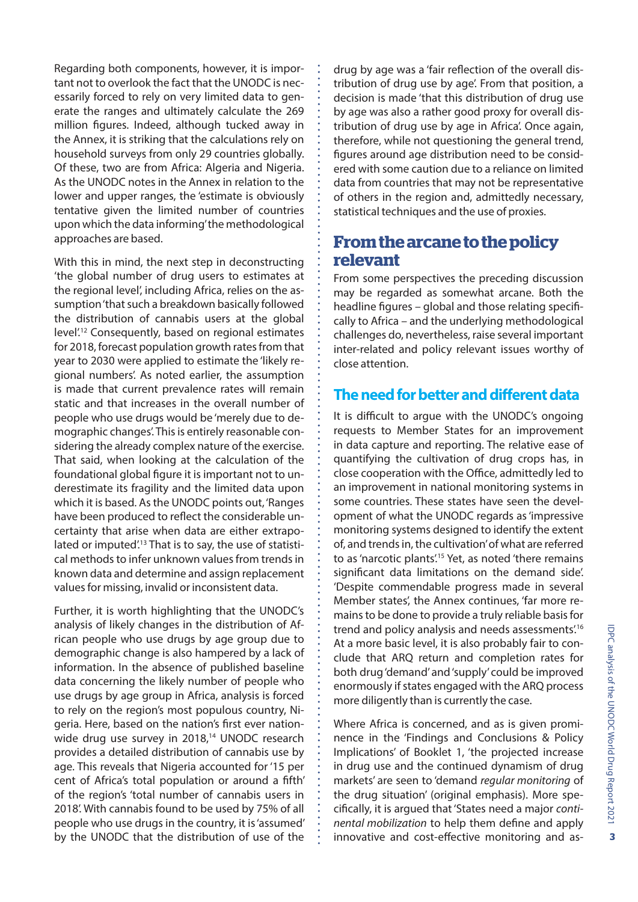Regarding both components, however, it is important not to overlook the fact that the UNODC is necessarily forced to rely on very limited data to generate the ranges and ultimately calculate the 269 million figures. Indeed, although tucked away in the Annex, it is striking that the calculations rely on household surveys from only 29 countries globally. Of these, two are from Africa: Algeria and Nigeria. As the UNODC notes in the Annex in relation to the lower and upper ranges, the 'estimate is obviously tentative given the limited number of countries upon which the data informing' the methodological approaches are based.

With this in mind, the next step in deconstructing 'the global number of drug users to estimates at the regional level', including Africa, relies on the assumption 'that such a breakdown basically followed the distribution of cannabis users at the global level'.12 Consequently, based on regional estimates for 2018, forecast population growth rates from that year to 2030 were applied to estimate the 'likely regional numbers'. As noted earlier, the assumption is made that current prevalence rates will remain static and that increases in the overall number of people who use drugs would be 'merely due to demographic changes'. This is entirely reasonable considering the already complex nature of the exercise. That said, when looking at the calculation of the foundational global figure it is important not to underestimate its fragility and the limited data upon which it is based. As the UNODC points out, 'Ranges have been produced to reflect the considerable uncertainty that arise when data are either extrapolated or imputed'.<sup>13</sup> That is to say, the use of statistical methods to infer unknown values from trends in known data and determine and assign replacement values for missing, invalid or inconsistent data.

Further, it is worth highlighting that the UNODC's analysis of likely changes in the distribution of African people who use drugs by age group due to demographic change is also hampered by a lack of information. In the absence of published baseline data concerning the likely number of people who use drugs by age group in Africa, analysis is forced to rely on the region's most populous country, Nigeria. Here, based on the nation's first ever nationwide drug use survey in 2018,<sup>14</sup> UNODC research provides a detailed distribution of cannabis use by age. This reveals that Nigeria accounted for '15 per cent of Africa's total population or around a fifth' of the region's 'total number of cannabis users in 2018'. With cannabis found to be used by 75% of all people who use drugs in the country, it is 'assumed' by the UNODC that the distribution of use of the drug by age was a 'fair reflection of the overall distribution of drug use by age'. From that position, a decision is made 'that this distribution of drug use by age was also a rather good proxy for overall distribution of drug use by age in Africa'. Once again, therefore, while not questioning the general trend, figures around age distribution need to be considered with some caution due to a reliance on limited data from countries that may not be representative of others in the region and, admittedly necessary, statistical techniques and the use of proxies.

# **From the arcane to the policy relevant**

From some perspectives the preceding discussion may be regarded as somewhat arcane. Both the headline figures – global and those relating specifically to Africa – and the underlying methodological challenges do, nevertheless, raise several important inter-related and policy relevant issues worthy of close attention.

#### **The need for better and different data**

It is difficult to argue with the UNODC's ongoing requests to Member States for an improvement in data capture and reporting. The relative ease of quantifying the cultivation of drug crops has, in close cooperation with the Office, admittedly led to an improvement in national monitoring systems in some countries. These states have seen the development of what the UNODC regards as 'impressive monitoring systems designed to identify the extent of, and trends in, the cultivation' of what are referred to as 'narcotic plants'.<sup>15</sup> Yet, as noted 'there remains significant data limitations on the demand side'. 'Despite commendable progress made in several Member states', the Annex continues, 'far more remains to be done to provide a truly reliable basis for trend and policy analysis and needs assessments'.16 At a more basic level, it is also probably fair to conclude that ARQ return and completion rates for both drug 'demand' and 'supply' could be improved enormously if states engaged with the ARQ process more diligently than is currently the case.

Where Africa is concerned, and as is given prominence in the 'Findings and Conclusions & Policy Implications' of Booklet 1, 'the projected increase in drug use and the continued dynamism of drug markets' are seen to 'demand *regular monitoring* of the drug situation' (original emphasis). More specifically, it is argued that 'States need a major *continental mobilization* to help them define and apply innovative and cost-effective monitoring and as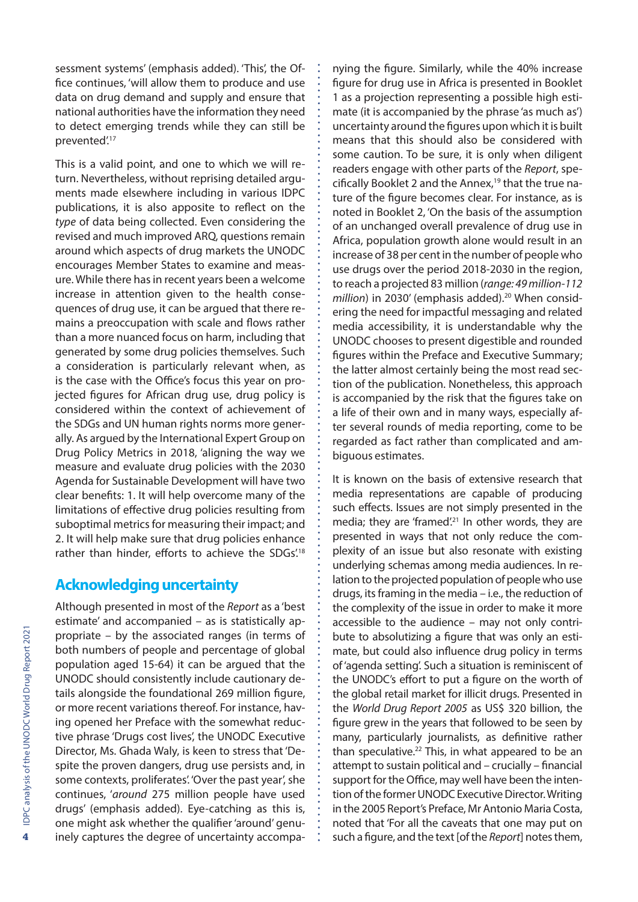sessment systems' (emphasis added). 'This', the Office continues, 'will allow them to produce and use data on drug demand and supply and ensure that national authorities have the information they need to detect emerging trends while they can still be prevented'.17

This is a valid point, and one to which we will return. Nevertheless, without reprising detailed arguments made elsewhere including in various IDPC publications, it is also apposite to reflect on the *type* of data being collected. Even considering the revised and much improved ARQ, questions remain around which aspects of drug markets the UNODC encourages Member States to examine and measure. While there has in recent years been a welcome increase in attention given to the health consequences of drug use, it can be argued that there remains a preoccupation with scale and flows rather than a more nuanced focus on harm, including that generated by some drug policies themselves. Such a consideration is particularly relevant when, as is the case with the Office's focus this year on projected figures for African drug use, drug policy is considered within the context of achievement of the SDGs and UN human rights norms more generally. As argued by the International Expert Group on Drug Policy Metrics in 2018, 'aligning the way we measure and evaluate drug policies with the 2030 Agenda for Sustainable Development will have two clear benefits: 1. It will help overcome many of the limitations of effective drug policies resulting from suboptimal metrics for measuring their impact; and 2. It will help make sure that drug policies enhance rather than hinder, efforts to achieve the SDGs.<sup>18</sup>

#### **Acknowledging uncertainty**

Although presented in most of the *Report* as a 'best estimate' and accompanied – as is statistically appropriate – by the associated ranges (in terms of both numbers of people and percentage of global population aged 15-64) it can be argued that the UNODC should consistently include cautionary details alongside the foundational 269 million figure, or more recent variations thereof. For instance, having opened her Preface with the somewhat reductive phrase 'Drugs cost lives', the UNODC Executive Director, Ms. Ghada Waly, is keen to stress that 'Despite the proven dangers, drug use persists and, in some contexts, proliferates'. 'Over the past year', she continues, '*around* 275 million people have used drugs' (emphasis added). Eye-catching as this is, one might ask whether the qualifier 'around' genuinely captures the degree of uncertainty accompa-

nying the figure. Similarly, while the 40% increase figure for drug use in Africa is presented in Booklet 1 as a projection representing a possible high estimate (it is accompanied by the phrase 'as much as') uncertainty around the figures upon which it is built means that this should also be considered with some caution. To be sure, it is only when diligent readers engage with other parts of the *Report*, specifically Booklet 2 and the Annex,19 that the true nature of the figure becomes clear. For instance, as is noted in Booklet 2, 'On the basis of the assumption of an unchanged overall prevalence of drug use in Africa, population growth alone would result in an increase of 38 per cent in the number of people who use drugs over the period 2018-2030 in the region, to reach a projected 83 million (*range: 49 million-112 million*) in 2030' (emphasis added).<sup>20</sup> When considering the need for impactful messaging and related media accessibility, it is understandable why the UNODC chooses to present digestible and rounded figures within the Preface and Executive Summary; the latter almost certainly being the most read section of the publication. Nonetheless, this approach is accompanied by the risk that the figures take on a life of their own and in many ways, especially after several rounds of media reporting, come to be regarded as fact rather than complicated and ambiguous estimates.

It is known on the basis of extensive research that media representations are capable of producing such effects. Issues are not simply presented in the media; they are 'framed'.<sup>21</sup> In other words, they are presented in ways that not only reduce the complexity of an issue but also resonate with existing underlying schemas among media audiences. In relation to the projected population of people who use drugs, its framing in the media – i.e., the reduction of the complexity of the issue in order to make it more accessible to the audience – may not only contribute to absolutizing a figure that was only an estimate, but could also influence drug policy in terms of 'agenda setting'. Such a situation is reminiscent of the UNODC's effort to put a figure on the worth of the global retail market for illicit drugs. Presented in the *World Drug Report 2005* as US\$ 320 billion, the figure grew in the years that followed to be seen by many, particularly journalists, as definitive rather than speculative.<sup>22</sup> This, in what appeared to be an attempt to sustain political and – crucially – financial support for the Office, may well have been the intention of the former UNODC Executive Director. Writing in the 2005 Report's Preface, Mr Antonio Maria Costa, noted that 'For all the caveats that one may put on such a figure, and the text [of the *Report*] notes them,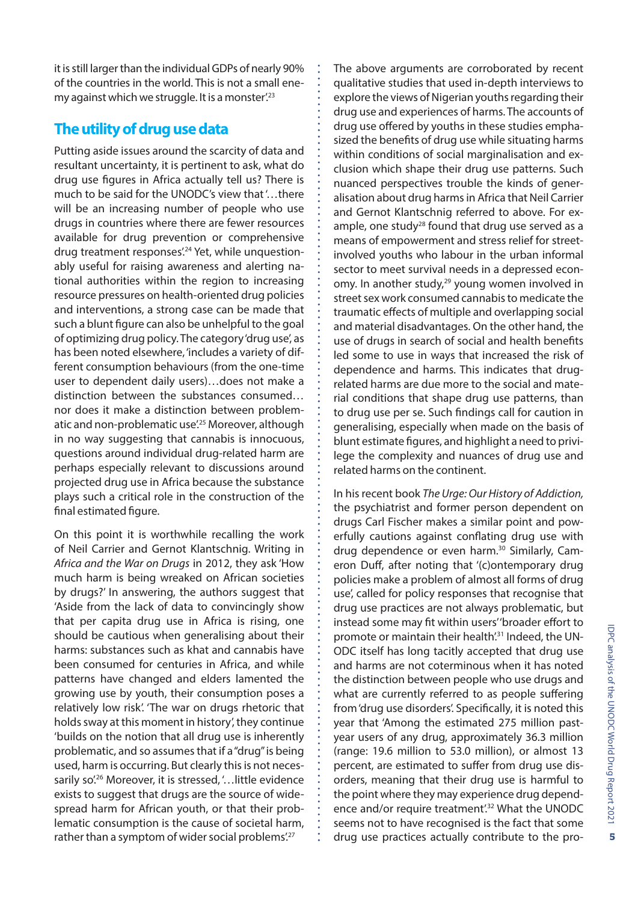it is still larger than the individual GDPs of nearly 90% of the countries in the world. This is not a small enemy against which we struggle. It is a monster.<sup>23</sup>

#### **The utility of drug use data**

Putting aside issues around the scarcity of data and resultant uncertainty, it is pertinent to ask, what do drug use figures in Africa actually tell us? There is much to be said for the UNODC's view that '…there will be an increasing number of people who use drugs in countries where there are fewer resources available for drug prevention or comprehensive drug treatment responses<sup>'24</sup> Yet, while unquestionably useful for raising awareness and alerting national authorities within the region to increasing resource pressures on health-oriented drug policies and interventions, a strong case can be made that such a blunt figure can also be unhelpful to the goal of optimizing drug policy. The category 'drug use', as has been noted elsewhere, 'includes a variety of different consumption behaviours (from the one-time user to dependent daily users)…does not make a distinction between the substances consumed… nor does it make a distinction between problematic and non-problematic use<sup>'25</sup> Moreover, although in no way suggesting that cannabis is innocuous, questions around individual drug-related harm are perhaps especially relevant to discussions around projected drug use in Africa because the substance plays such a critical role in the construction of the final estimated figure.

On this point it is worthwhile recalling the work of Neil Carrier and Gernot Klantschnig. Writing in *Africa and the War on Drugs* in 2012, they ask 'How much harm is being wreaked on African societies by drugs?' In answering, the authors suggest that 'Aside from the lack of data to convincingly show that per capita drug use in Africa is rising, one should be cautious when generalising about their harms: substances such as khat and cannabis have been consumed for centuries in Africa, and while patterns have changed and elders lamented the growing use by youth, their consumption poses a relatively low risk'. 'The war on drugs rhetoric that holds sway at this moment in history', they continue 'builds on the notion that all drug use is inherently problematic, and so assumes that if a "drug" is being used, harm is occurring. But clearly this is not necessarily so<sup>'.26</sup> Moreover, it is stressed, '... little evidence exists to suggest that drugs are the source of widespread harm for African youth, or that their problematic consumption is the cause of societal harm, rather than a symptom of wider social problems'.<sup>27</sup>

The above arguments are corroborated by recent qualitative studies that used in-depth interviews to explore the views of Nigerian youths regarding their drug use and experiences of harms. The accounts of drug use offered by youths in these studies emphasized the benefits of drug use while situating harms within conditions of social marginalisation and exclusion which shape their drug use patterns. Such nuanced perspectives trouble the kinds of generalisation about drug harms in Africa that Neil Carrier and Gernot Klantschnig referred to above. For example, one study<sup>28</sup> found that drug use served as a means of empowerment and stress relief for streetinvolved youths who labour in the urban informal sector to meet survival needs in a depressed economy. In another study, $29$  young women involved in street sex work consumed cannabis to medicate the traumatic effects of multiple and overlapping social and material disadvantages. On the other hand, the use of drugs in search of social and health benefits led some to use in ways that increased the risk of dependence and harms. This indicates that drugrelated harms are due more to the social and material conditions that shape drug use patterns, than to drug use per se. Such findings call for caution in generalising, especially when made on the basis of blunt estimate figures, and highlight a need to privilege the complexity and nuances of drug use and related harms on the continent.

In his recent book *The Urge: Our History of Addiction,* the psychiatrist and former person dependent on drugs Carl Fischer makes a similar point and powerfully cautions against conflating drug use with drug dependence or even harm.<sup>30</sup> Similarly, Cameron Duff, after noting that '(c)ontemporary drug policies make a problem of almost all forms of drug use', called for policy responses that recognise that drug use practices are not always problematic, but instead some may fit within users' 'broader effort to promote or maintain their health<sup>'31</sup> Indeed, the UN-ODC itself has long tacitly accepted that drug use and harms are not coterminous when it has noted the distinction between people who use drugs and what are currently referred to as people suffering from 'drug use disorders'. Specifically, it is noted this year that 'Among the estimated 275 million pastyear users of any drug, approximately 36.3 million (range: 19.6 million to 53.0 million), or almost 13 percent, are estimated to suffer from drug use disorders, meaning that their drug use is harmful to the point where they may experience drug dependence and/or require treatment<sup>'32</sup> What the UNODC seems not to have recognised is the fact that some drug use practices actually contribute to the pro-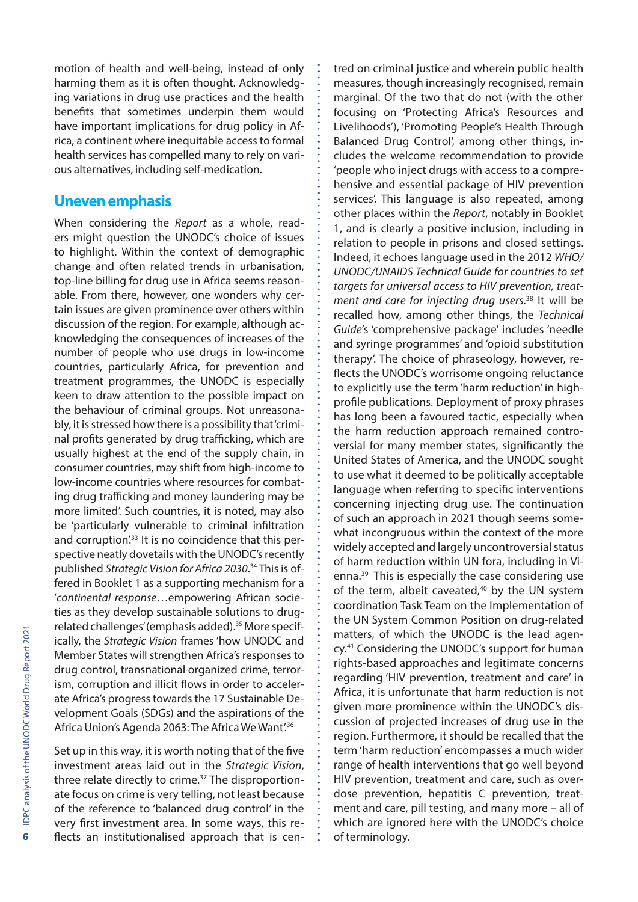motion of health and well-being, instead of only harming them as it is often thought. Acknowledging variations in drug use practices and the health benefits that sometimes underpin them would have important implications for drug policy in Africa, a continent where inequitable access to formal health services has compelled many to rely on various alternatives, including self-medication.

#### **Uneven emphasis**

When considering the *Report* as a whole, readers might question the UNODC's choice of issues to highlight. Within the context of demographic change and often related trends in urbanisation, top-line billing for drug use in Africa seems reasonable. From there, however, one wonders why certain issues are given prominence over others within discussion of the region. For example, although acknowledging the consequences of increases of the number of people who use drugs in low-income countries, particularly Africa, for prevention and treatment programmes, the UNODC is especially keen to draw attention to the possible impact on the behaviour of criminal groups. Not unreasonably, it is stressed how there is a possibility that 'criminal profits generated by drug trafficking, which are usually highest at the end of the supply chain, in consumer countries, may shift from high-income to low-income countries where resources for combating drug trafficking and money laundering may be more limited'. Such countries, it is noted, may also be 'particularly vulnerable to criminal infiltration and corruption<sup>'33</sup> It is no coincidence that this perspective neatly dovetails with the UNODC's recently published *Strategic Vision for Africa 2030*. 34 This is offered in Booklet 1 as a supporting mechanism for a '*continental response*…empowering African societies as they develop sustainable solutions to drugrelated challenges' (emphasis added).<sup>35</sup> More specifically, the *Strategic Vision* frames 'how UNODC and Member States will strengthen Africa's responses to drug control, transnational organized crime, terrorism, corruption and illicit flows in order to accelerate Africa's progress towards the 17 Sustainable Development Goals (SDGs) and the aspirations of the Africa Union's Agenda 2063: The Africa We Want'.36

Set up in this way, it is worth noting that of the five investment areas laid out in the *Strategic Vision*, three relate directly to crime.37 The disproportionate focus on crime is very telling, not least because of the reference to 'balanced drug control' in the very first investment area. In some ways, this reflects an institutionalised approach that is centred on criminal justice and wherein public health measures, though increasingly recognised, remain marginal. Of the two that do not (with the other focusing on 'Protecting Africa's Resources and Livelihoods'), 'Promoting People's Health Through Balanced Drug Control', among other things, includes the welcome recommendation to provide 'people who inject drugs with access to a comprehensive and essential package of HIV prevention services'. This language is also repeated, among other places within the *Report*, notably in Booklet 1, and is clearly a positive inclusion, including in relation to people in prisons and closed settings. Indeed, it echoes language used in the 2012 *WHO/ UNODC/UNAIDS Technical Guide for countries to set targets for universal access to HIV prevention, treatment and care for injecting drug users*. 38 It will be recalled how, among other things, the *Technical Guide*'s 'comprehensive package' includes 'needle and syringe programmes' and 'opioid substitution therapy'. The choice of phraseology, however, reflects the UNODC's worrisome ongoing reluctance to explicitly use the term 'harm reduction' in highprofile publications. Deployment of proxy phrases has long been a favoured tactic, especially when the harm reduction approach remained controversial for many member states, significantly the United States of America, and the UNODC sought to use what it deemed to be politically acceptable language when referring to specific interventions concerning injecting drug use. The continuation of such an approach in 2021 though seems somewhat incongruous within the context of the more widely accepted and largely uncontroversial status of harm reduction within UN fora, including in Vienna.39 This is especially the case considering use of the term, albeit caveated, $40$  by the UN system coordination Task Team on the Implementation of the UN System Common Position on drug-related matters, of which the UNODC is the lead agency.41 Considering the UNODC's support for human rights-based approaches and legitimate concerns regarding 'HIV prevention, treatment and care' in Africa, it is unfortunate that harm reduction is not given more prominence within the UNODC's discussion of projected increases of drug use in the region. Furthermore, it should be recalled that the term 'harm reduction' encompasses a much wider range of health interventions that go well beyond HIV prevention, treatment and care, such as overdose prevention, hepatitis C prevention, treatment and care, pill testing, and many more – all of which are ignored here with the UNODC's choice of terminology.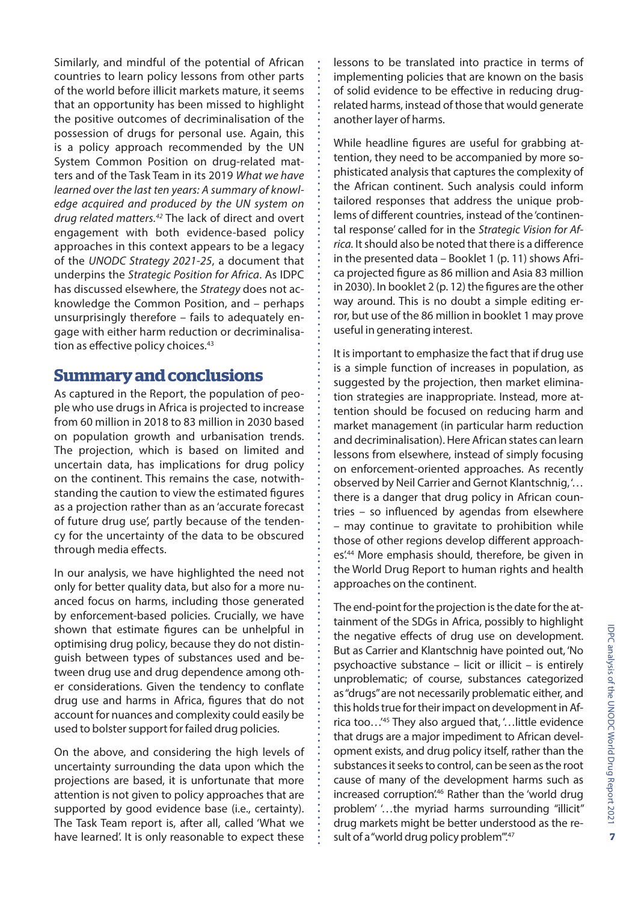Similarly, and mindful of the potential of African countries to learn policy lessons from other parts of the world before illicit markets mature, it seems that an opportunity has been missed to highlight the positive outcomes of decriminalisation of the possession of drugs for personal use. Again, this is a policy approach recommended by the UN System Common Position on drug-related matters and of the Task Team in its 2019 *What we have learned over the last ten years: A summary of knowledge acquired and produced by the UN system on drug related matters.42* The lack of direct and overt engagement with both evidence-based policy approaches in this context appears to be a legacy of the *UNODC Strategy 2021-25*, a document that underpins the *Strategic Position for Africa*. As IDPC has discussed elsewhere, the *Strategy* does not acknowledge the Common Position, and – perhaps unsurprisingly therefore – fails to adequately engage with either harm reduction or decriminalisation as effective policy choices.<sup>43</sup>

## **Summary and conclusions**

As captured in the Report, the population of people who use drugs in Africa is projected to increase from 60 million in 2018 to 83 million in 2030 based on population growth and urbanisation trends. The projection, which is based on limited and uncertain data, has implications for drug policy on the continent. This remains the case, notwithstanding the caution to view the estimated figures as a projection rather than as an 'accurate forecast of future drug use', partly because of the tendency for the uncertainty of the data to be obscured through media effects.

In our analysis, we have highlighted the need not only for better quality data, but also for a more nuanced focus on harms, including those generated by enforcement-based policies. Crucially, we have shown that estimate figures can be unhelpful in optimising drug policy, because they do not distinguish between types of substances used and between drug use and drug dependence among other considerations. Given the tendency to conflate drug use and harms in Africa, figures that do not account for nuances and complexity could easily be used to bolster support for failed drug policies.

On the above, and considering the high levels of uncertainty surrounding the data upon which the projections are based, it is unfortunate that more attention is not given to policy approaches that are supported by good evidence base (i.e., certainty). The Task Team report is, after all, called 'What we have learned'. It is only reasonable to expect these lessons to be translated into practice in terms of implementing policies that are known on the basis of solid evidence to be effective in reducing drugrelated harms, instead of those that would generate another layer of harms.

While headline figures are useful for grabbing attention, they need to be accompanied by more sophisticated analysis that captures the complexity of the African continent. Such analysis could inform tailored responses that address the unique problems of different countries, instead of the 'continental response' called for in the *Strategic Vision for Africa.* It should also be noted that there is a difference in the presented data – Booklet 1 (p. 11) shows Africa projected figure as 86 million and Asia 83 million in 2030). In booklet 2 (p. 12) the figures are the other way around. This is no doubt a simple editing error, but use of the 86 million in booklet 1 may prove useful in generating interest.

It is important to emphasize the fact that if drug use is a simple function of increases in population, as suggested by the projection, then market elimination strategies are inappropriate. Instead, more attention should be focused on reducing harm and market management (in particular harm reduction and decriminalisation). Here African states can learn lessons from elsewhere, instead of simply focusing on enforcement-oriented approaches. As recently observed by Neil Carrier and Gernot Klantschnig, '… there is a danger that drug policy in African countries – so influenced by agendas from elsewhere – may continue to gravitate to prohibition while those of other regions develop different approaches.<sup>44</sup> More emphasis should, therefore, be given in the World Drug Report to human rights and health approaches on the continent.

The end-point for the projection is the date for the attainment of the SDGs in Africa, possibly to highlight the negative effects of drug use on development. But as Carrier and Klantschnig have pointed out, 'No psychoactive substance – licit or illicit – is entirely unproblematic; of course, substances categorized as "drugs" are not necessarily problematic either, and this holds true for their impact on development in Africa too…'45 They also argued that, '…little evidence that drugs are a major impediment to African development exists, and drug policy itself, rather than the substances it seeks to control, can be seen as the root cause of many of the development harms such as increased corruption<sup>'46</sup> Rather than the 'world drug problem' '…the myriad harms surrounding "illicit" drug markets might be better understood as the result of a "world drug policy problem".<sup>47</sup>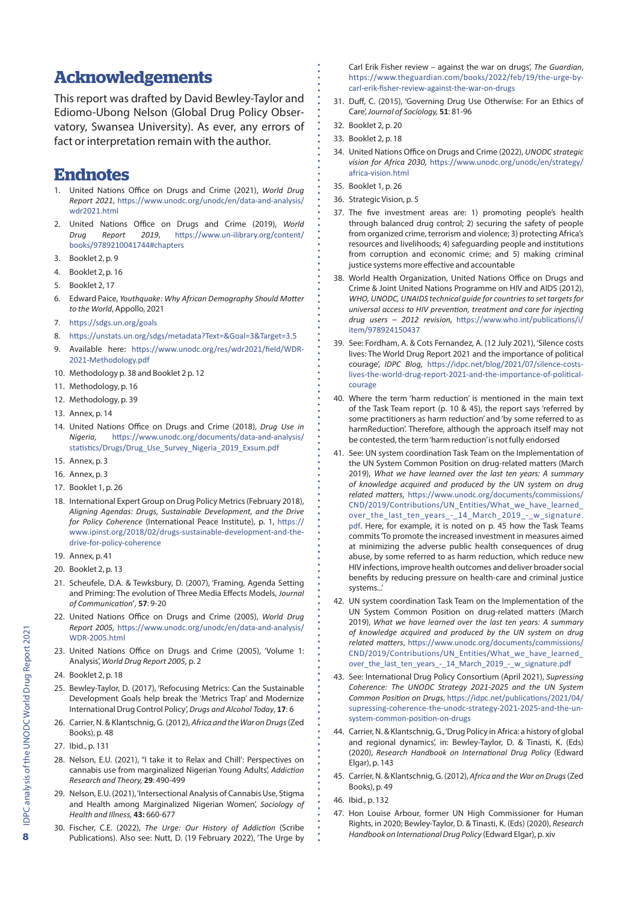#### **Acknowledgements**

This report was drafted by David Bewley-Taylor and Ediomo-Ubong Nelson (Global Drug Policy Observatory, Swansea University). As ever, any errors of fact or interpretation remain with the author.

### **Endnotes**

- 1. United Nations Office on Drugs and Crime (2021), *World Drug Report 2021*, [https://www.unodc.org/unodc/en/data-and-analysis/](https://www.unodc.org/unodc/en/data-and-analysis/wdr2021.html) [wdr2021.html](https://www.unodc.org/unodc/en/data-and-analysis/wdr2021.html)
- 2. United Nations Office on Drugs and Crime (2019), *World Drug Report 2019*, https://www.un-ilibrary.org/content/ books/9789210041744#chapters
- 3. Booklet 2, p. 9
- 4. Booklet 2, p. 16
- 5. Booklet 2, 17
- 6. Edward Paice, *Youthquake: Why African Demography Should Matter to the World*, Appollo, 2021
- 7. <https://sdgs.un.org/goals>
- 8. <https://unstats.un.org/sdgs/metadata?Text=&Goal=3&Target=3.5>
- 9. Available here: [https://www.unodc.org/res/wdr2021/field/WDR-](https://www.unodc.org/res/wdr2021/field/WDR-2021-Methodology.pdf)[2021-Methodology.pdf](https://www.unodc.org/res/wdr2021/field/WDR-2021-Methodology.pdf)
- 10. Methodology p. 38 and Booklet 2 p. 12
- 11. Methodology, p. 16
- 12. Methodology, p. 39
- 13. Annex, p. 14
- 14. United Nations Office on Drugs and Crime (2018), *Drug Use in Nigeria,* [https://www.unodc.org/documents/data-and-analysis/](https://www.unodc.org/documents/data-and-analysis/statistics/Drugs/Drug_Use_Survey_Nigeria_2019_Exsum.pdf) [statistics/Drugs/Drug\\_Use\\_Survey\\_Nigeria\\_2019\\_Exsum.pdf](https://www.unodc.org/documents/data-and-analysis/statistics/Drugs/Drug_Use_Survey_Nigeria_2019_Exsum.pdf)
- 15. Annex, p. 3
- 16. Annex, p. 3
- 17. Booklet 1, p. 26
- 18. International Expert Group on Drug Policy Metrics (February 2018), *Aligning Agendas: Drugs, Sustainable Development, and the Drive for Policy Coherence* (International Peace Institute), p. 1, [https://](https://www.ipinst.org/2018/02/drugs-sustainable-development-and-the-drive-for-policy-coherence) [www.ipinst.org/2018/02/drugs-sustainable-development-and-the](https://www.ipinst.org/2018/02/drugs-sustainable-development-and-the-drive-for-policy-coherence)[drive-for-policy-coherence](https://www.ipinst.org/2018/02/drugs-sustainable-development-and-the-drive-for-policy-coherence)
- 19. Annex, p. 41
- 20. Booklet 2, p. 13
- 21. Scheufele, D.A. & Tewksbury, D. (2007), 'Framing, Agenda Setting and Priming: The evolution of Three Media Effects Models, *Journal of Communication*'*,* **57**: 9-20
- 22. United Nations Office on Drugs and Crime (2005), *World Drug Report 2005,* [https://www.unodc.org/unodc/en/data-and-analysis/](https://www.unodc.org/unodc/en/data-and-analysis/WDR-2005.html) [WDR-2005.html](https://www.unodc.org/unodc/en/data-and-analysis/WDR-2005.html)
- 23. United Nations Office on Drugs and Crime (2005), 'Volume 1: Analysis', *World Drug Report 2005,* p. 2
- 24. Booklet 2, p. 18
- 25. Bewley-Taylor, D. (2017), 'Refocusing Metrics: Can the Sustainable Development Goals help break the 'Metrics Trap' and Modernize International Drug Control Policy', *Drugs and Alcohol Today*, **17**: 6
- 26. Carrier, N. & Klantschnig, G. (2012), *Africa and the War on Drugs* (Zed Books), p. 48
- 27. Ibid., p. 131
- 28. Nelson, E.U. (2021), "I take it to Relax and Chill': Perspectives on cannabis use from marginalized Nigerian Young Adults', *Addiction Research and Theory,* **29**: 490-499
- 29. Nelson, E.U. (2021), 'Intersectional Analysis of Cannabis Use, Stigma and Health among Marginalized Nigerian Women', *Sociology of Health and Illness,* **43:** 660-677
- 30. Fischer, C.E. (2022), *The Urge: Our History of Addiction* (Scribe Publications). Also see: Nutt, D. (19 February 2022), 'The Urge by

Carl Erik Fisher review – against the war on drugs', *The Guardian*, [https://www.theguardian.com/books/2022/feb/19/the-urge-by](https://www.theguardian.com/books/2022/feb/19/the-urge-by-carl-erik-fisher-review-against-the-war-on-drugs)[carl-erik-fisher-review-against-the-war-on-drugs](https://www.theguardian.com/books/2022/feb/19/the-urge-by-carl-erik-fisher-review-against-the-war-on-drugs)

- 31. Duff, C. (2015), 'Governing Drug Use Otherwise: For an Ethics of Care', *Journal of Sociology,* **51**: 81-96
- 32. Booklet 2, p. 20
- 33. Booklet 2, p. 18
- 34. United Nations Office on Drugs and Crime (2022), *UNODC strategic vision for Africa 2030,* [https://www.unodc.org/unodc/en/strategy/](https://www.unodc.org/unodc/en/strategy/africa-vision.html) [africa-vision.html](https://www.unodc.org/unodc/en/strategy/africa-vision.html)
- 35. Booklet 1, p. 26
- 36. Strategic Vision, p. 5
- 37. The five investment areas are: 1) promoting people's health through balanced drug control; 2) securing the safety of people from organized crime, terrorism and violence; 3) protecting Africa's resources and livelihoods; 4) safeguarding people and institutions from corruption and economic crime; and 5) making criminal justice systems more effective and accountable
- 38. World Health Organization, United Nations Office on Drugs and Crime & Joint United Nations Programme on HIV and AIDS (2012), *WHO, UNODC, UNAIDS technical guide for countries to set targets for universal access to HIV prevention, treatment and care for injecting drug users – 2012 revision*, [https://www.who.int/publications/i/](https://www.who.int/publications/i/item/978924150437) [item/978924150437](https://www.who.int/publications/i/item/978924150437)
- 39. See: Fordham, A. & Cots Fernandez, A. (12 July 2021), 'Silence costs lives: The World Drug Report 2021 and the importance of political courage', *IDPC Blog,* [https://idpc.net/blog/2021/07/silence-costs](https://idpc.net/blog/2021/07/silence-costs-lives-the-world-drug-report-2021-and-the-importance-of-political-courage)[lives-the-world-drug-report-2021-and-the-importance-of-political](https://idpc.net/blog/2021/07/silence-costs-lives-the-world-drug-report-2021-and-the-importance-of-political-courage)[courage](https://idpc.net/blog/2021/07/silence-costs-lives-the-world-drug-report-2021-and-the-importance-of-political-courage)
- 40. Where the term 'harm reduction' is mentioned in the main text of the Task Team report (p. 10 & 45), the report says 'referred by some practitioners as harm reduction' and 'by some referred to as harmReduction'. Therefore, although the approach itself may not be contested, the term 'harm reduction' is not fully endorsed
- 41. See: UN system coordination Task Team on the Implementation of the UN System Common Position on drug-related matters (March 2019), *What we have learned over the last ten years: A summary of knowledge acquired and produced by the UN system on drug related matters*, [https://www.unodc.org/documents/commissions/](https://www.unodc.org/documents/commissions/CND/2019/Contributions/UN_Entities/What_we_have_learned_over_the_last_ten_years_-_14_March_2019_-_w_signature.pdf) [CND/2019/Contributions/UN\\_Entities/What\\_we\\_have\\_learned\\_](https://www.unodc.org/documents/commissions/CND/2019/Contributions/UN_Entities/What_we_have_learned_over_the_last_ten_years_-_14_March_2019_-_w_signature.pdf) [over\\_the\\_last\\_ten\\_years\\_-\\_14\\_March\\_2019\\_-\\_w\\_signature.](https://www.unodc.org/documents/commissions/CND/2019/Contributions/UN_Entities/What_we_have_learned_over_the_last_ten_years_-_14_March_2019_-_w_signature.pdf) [pdf](https://www.unodc.org/documents/commissions/CND/2019/Contributions/UN_Entities/What_we_have_learned_over_the_last_ten_years_-_14_March_2019_-_w_signature.pdf). Here, for example, it is noted on p. 45 how the Task Teams commits 'To promote the increased investment in measures aimed at minimizing the adverse public health consequences of drug abuse, by some referred to as harm reduction, which reduce new HIV infections, improve health outcomes and deliver broader social benefits by reducing pressure on health-care and criminal justice systems...'
- 42. UN system coordination Task Team on the Implementation of the UN System Common Position on drug-related matters (March 2019), *What we have learned over the last ten years: A summary of knowledge acquired and produced by the UN system on drug related matters*, [https://www.unodc.org/documents/commissions/](https://www.unodc.org/documents/commissions/CND/2019/Contributions/UN_Entities/What_we_have_learned_over_the_last_ten_years_-_14_March_2019_-_w_signature.pdf) [CND/2019/Contributions/UN\\_Entities/What\\_we\\_have\\_learned\\_](https://www.unodc.org/documents/commissions/CND/2019/Contributions/UN_Entities/What_we_have_learned_over_the_last_ten_years_-_14_March_2019_-_w_signature.pdf) [over\\_the\\_last\\_ten\\_years\\_-\\_14\\_March\\_2019\\_-\\_w\\_signature.pdf](https://www.unodc.org/documents/commissions/CND/2019/Contributions/UN_Entities/What_we_have_learned_over_the_last_ten_years_-_14_March_2019_-_w_signature.pdf)
- 43. See: International Drug Policy Consortium (April 2021), *Supressing Coherence: The UNODC Strategy 2021-2025 and the UN System Common Position on Drugs*, [https://idpc.net/publications/2021/04/](https://idpc.net/publications/2021/04/supressing-coherence-the-unodc-strategy-2021-2025-and-the-un-system-common-position-on-drugs) [supressing-coherence-the-unodc-strategy-2021-2025-and-the-un](https://idpc.net/publications/2021/04/supressing-coherence-the-unodc-strategy-2021-2025-and-the-un-system-common-position-on-drugs)[system-common-position-on-drugs](https://idpc.net/publications/2021/04/supressing-coherence-the-unodc-strategy-2021-2025-and-the-un-system-common-position-on-drugs)
- 44. Carrier, N. & Klantschnig, G., 'Drug Policy in Africa: a history of global and regional dynamics', in: Bewley-Taylor, D. & Tinasti, K. (Eds) (2020), *Research Handbook on International Drug Policy* (Edward Elgar), p. 143
- 45. Carrier, N. & Klantschnig, G. (2012), *Africa and the War on Drugs* (Zed Books), p. 49
- 46. Ibid., p. 132
- 47. Hon Louise Arbour, former UN High Commissioner for Human Rights, in 2020; Bewley-Taylor, D. & Tinasti, K. (Eds) (2020), *Research Handbook on International Drug Policy* (Edward Elgar), p. xiv